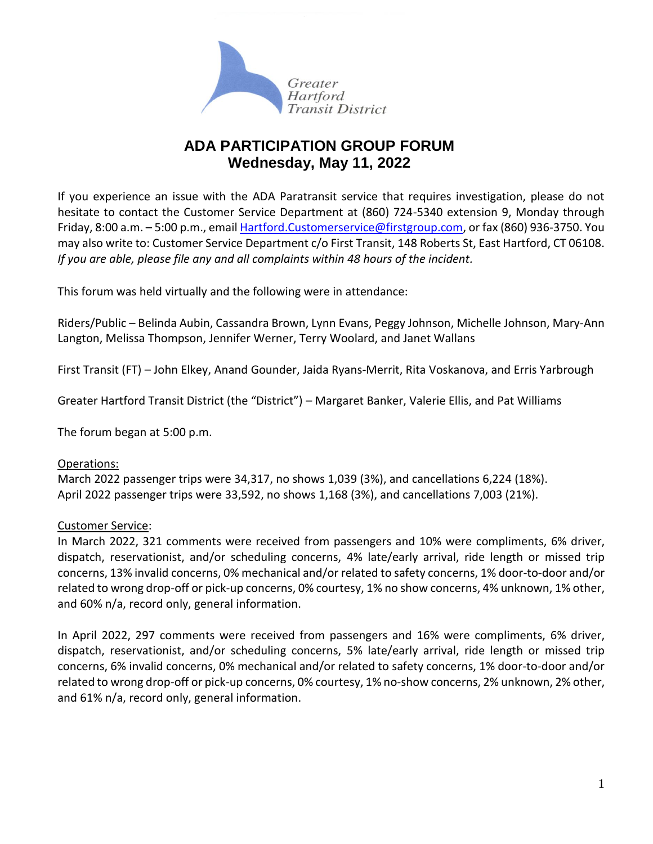

# **ADA PARTICIPATION GROUP FORUM Wednesday, May 11, 2022**

If you experience an issue with the ADA Paratransit service that requires investigation, please do not hesitate to contact the Customer Service Department at (860) 724-5340 extension 9, Monday through Friday, 8:00 a.m. - 5:00 p.m., email [Hartford.Customerservice@firstgroup.com,](mailto:Hartford.Customerservice@firstgroup.com) or fax (860) 936-3750. You may also write to: Customer Service Department c/o First Transit, 148 Roberts St, East Hartford, CT 06108. *If you are able, please file any and all complaints within 48 hours of the incident.*

This forum was held virtually and the following were in attendance:

Riders/Public – Belinda Aubin, Cassandra Brown, Lynn Evans, Peggy Johnson, Michelle Johnson, Mary-Ann Langton, Melissa Thompson, Jennifer Werner, Terry Woolard, and Janet Wallans

First Transit (FT) – John Elkey, Anand Gounder, Jaida Ryans-Merrit, Rita Voskanova, and Erris Yarbrough

Greater Hartford Transit District (the "District") – Margaret Banker, Valerie Ellis, and Pat Williams

The forum began at 5:00 p.m.

## Operations:

March 2022 passenger trips were 34,317, no shows 1,039 (3%), and cancellations 6,224 (18%). April 2022 passenger trips were 33,592, no shows 1,168 (3%), and cancellations 7,003 (21%).

## Customer Service:

In March 2022, 321 comments were received from passengers and 10% were compliments, 6% driver, dispatch, reservationist, and/or scheduling concerns, 4% late/early arrival, ride length or missed trip concerns, 13% invalid concerns, 0% mechanical and/or related to safety concerns, 1% door-to-door and/or related to wrong drop-off or pick-up concerns, 0% courtesy, 1% no show concerns, 4% unknown, 1% other, and 60% n/a, record only, general information.

In April 2022, 297 comments were received from passengers and 16% were compliments, 6% driver, dispatch, reservationist, and/or scheduling concerns, 5% late/early arrival, ride length or missed trip concerns, 6% invalid concerns, 0% mechanical and/or related to safety concerns, 1% door-to-door and/or related to wrong drop-off or pick-up concerns, 0% courtesy, 1% no-show concerns, 2% unknown, 2% other, and 61% n/a, record only, general information.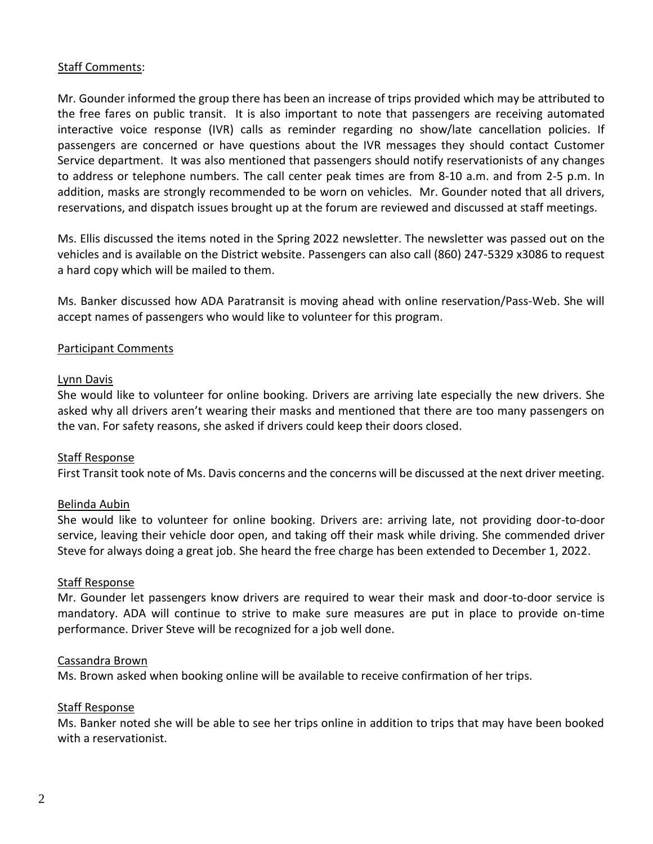# Staff Comments:

Mr. Gounder informed the group there has been an increase of trips provided which may be attributed to the free fares on public transit. It is also important to note that passengers are receiving automated interactive voice response (IVR) calls as reminder regarding no show/late cancellation policies. If passengers are concerned or have questions about the IVR messages they should contact Customer Service department. It was also mentioned that passengers should notify reservationists of any changes to address or telephone numbers. The call center peak times are from 8-10 a.m. and from 2-5 p.m. In addition, masks are strongly recommended to be worn on vehicles. Mr. Gounder noted that all drivers, reservations, and dispatch issues brought up at the forum are reviewed and discussed at staff meetings.

Ms. Ellis discussed the items noted in the Spring 2022 newsletter. The newsletter was passed out on the vehicles and is available on the District website. Passengers can also call (860) 247-5329 x3086 to request a hard copy which will be mailed to them.

Ms. Banker discussed how ADA Paratransit is moving ahead with online reservation/Pass-Web. She will accept names of passengers who would like to volunteer for this program.

## Participant Comments

## Lynn Davis

She would like to volunteer for online booking. Drivers are arriving late especially the new drivers. She asked why all drivers aren't wearing their masks and mentioned that there are too many passengers on the van. For safety reasons, she asked if drivers could keep their doors closed.

#### Staff Response

First Transit took note of Ms. Davis concerns and the concerns will be discussed at the next driver meeting.

## Belinda Aubin

She would like to volunteer for online booking. Drivers are: arriving late, not providing door-to-door service, leaving their vehicle door open, and taking off their mask while driving. She commended driver Steve for always doing a great job. She heard the free charge has been extended to December 1, 2022.

#### Staff Response

Mr. Gounder let passengers know drivers are required to wear their mask and door-to-door service is mandatory. ADA will continue to strive to make sure measures are put in place to provide on-time performance. Driver Steve will be recognized for a job well done.

#### Cassandra Brown

Ms. Brown asked when booking online will be available to receive confirmation of her trips.

#### Staff Response

Ms. Banker noted she will be able to see her trips online in addition to trips that may have been booked with a reservationist.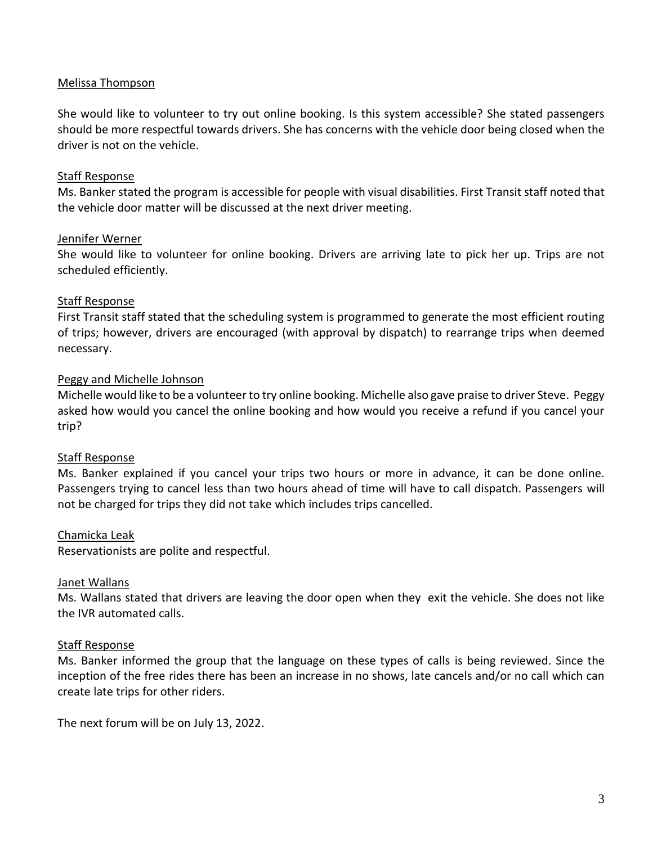# Melissa Thompson

She would like to volunteer to try out online booking. Is this system accessible? She stated passengers should be more respectful towards drivers. She has concerns with the vehicle door being closed when the driver is not on the vehicle.

### Staff Response

Ms. Banker stated the program is accessible for people with visual disabilities. First Transit staff noted that the vehicle door matter will be discussed at the next driver meeting.

### Jennifer Werner

She would like to volunteer for online booking. Drivers are arriving late to pick her up. Trips are not scheduled efficiently.

## Staff Response

First Transit staff stated that the scheduling system is programmed to generate the most efficient routing of trips; however, drivers are encouraged (with approval by dispatch) to rearrange trips when deemed necessary.

## Peggy and Michelle Johnson

Michelle would like to be a volunteer to try online booking. Michelle also gave praise to driver Steve. Peggy asked how would you cancel the online booking and how would you receive a refund if you cancel your trip?

#### Staff Response

Ms. Banker explained if you cancel your trips two hours or more in advance, it can be done online. Passengers trying to cancel less than two hours ahead of time will have to call dispatch. Passengers will not be charged for trips they did not take which includes trips cancelled.

## Chamicka Leak

Reservationists are polite and respectful.

#### Janet Wallans

Ms. Wallans stated that drivers are leaving the door open when they exit the vehicle. She does not like the IVR automated calls.

#### Staff Response

Ms. Banker informed the group that the language on these types of calls is being reviewed. Since the inception of the free rides there has been an increase in no shows, late cancels and/or no call which can create late trips for other riders.

The next forum will be on July 13, 2022.